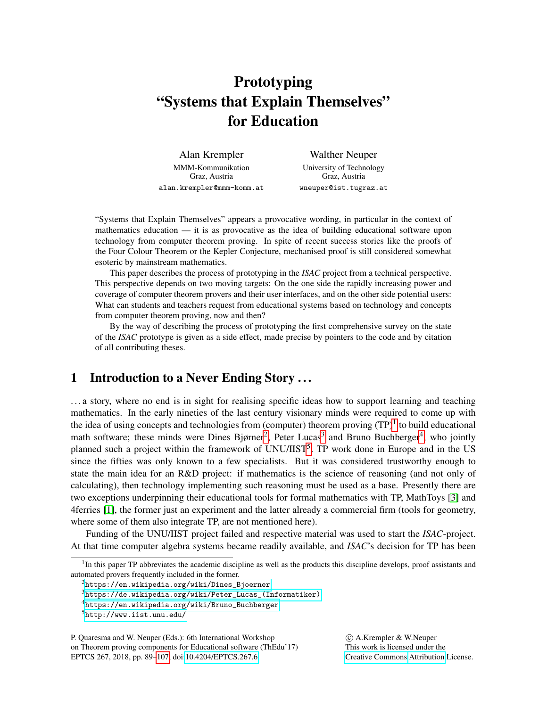# Prototyping "Systems that Explain Themselves" for Education

Alan Krempler MMM-Kommunikation Graz, Austria alan.krempler@mmm-komm.at

Walther Neuper University of Technology Graz, Austria wneuper@ist.tugraz.at

"Systems that Explain Themselves" appears a provocative wording, in particular in the context of mathematics education — it is as provocative as the idea of building educational software upon technology from computer theorem proving. In spite of recent success stories like the proofs of the Four Colour Theorem or the Kepler Conjecture, mechanised proof is still considered somewhat esoteric by mainstream mathematics.

This paper describes the process of prototyping in the *ISAC* project from a technical perspective. This perspective depends on two moving targets: On the one side the rapidly increasing power and coverage of computer theorem provers and their user interfaces, and on the other side potential users: What can students and teachers request from educational systems based on technology and concepts from computer theorem proving, now and then?

By the way of describing the process of prototyping the first comprehensive survey on the state of the *ISAC* prototype is given as a side effect, made precise by pointers to the code and by citation of all contributing theses.

# <span id="page-0-5"></span>1 Introduction to a Never Ending Story . . .

. . . a story, where no end is in sight for realising specific ideas how to support learning and teaching mathematics. In the early nineties of the last century visionary minds were required to come up with the idea of using concepts and technologies from (computer) theorem proving  $(TP)^{1}$  $(TP)^{1}$  $(TP)^{1}$  to build educational math software; these minds were Dines Bjørner<sup>[2](#page-0-1)</sup>, Peter Lucas<sup>[3](#page-0-2)</sup> and Bruno Buchberger<sup>[4](#page-0-3)</sup>, who jointly planned such a project within the framework of UNU/IIST<sup>[5](#page-0-4)</sup>. TP work done in Europe and in the US since the fifties was only known to a few specialists. But it was considered trustworthy enough to state the main idea for an R&D project: if mathematics is the science of reasoning (and not only of calculating), then technology implementing such reasoning must be used as a base. Presently there are two exceptions underpinning their educational tools for formal mathematics with TP, MathToys [\[3\]](#page-15-0) and 4ferries [\[1\]](#page-15-1), the former just an experiment and the latter already a commercial firm (tools for geometry, where some of them also integrate TP, are not mentioned here).

Funding of the UNU/IIST project failed and respective material was used to start the *ISAC*-project. At that time computer algebra systems became readily available, and *ISAC*'s decision for TP has been

P. Quaresma and W. Neuper (Eds.): 6th International Workshop on Theorem proving components for Educational software (ThEdu'17) EPTCS 267, 2018, pp. 89[–107,](#page-18-0) doi[:10.4204/EPTCS.267.6](http://dx.doi.org/10.4204/EPTCS.267.6)

 c A.Krempler & W.Neuper This work is licensed under the [Creative Commons](http://creativecommons.org) [Attribution](http://creativecommons.org/licenses/by/3.0/) License.

<span id="page-0-0"></span><sup>&</sup>lt;sup>1</sup>In this paper TP abbreviates the academic discipline as well as the products this discipline develops, proof assistants and automated provers frequently included in the former.

<span id="page-0-1"></span><sup>&</sup>lt;sup>2</sup>[https://en.wikipedia.org/wiki/Dines\\_Bjoerner](https://en.wikipedia.org/wiki/Dines_Bjoerner)

<span id="page-0-2"></span> $3$ [https://de.wikipedia.org/wiki/Peter\\_Lucas\\_\(Informatiker\)](https://de.wikipedia.org/wiki/Peter_Lucas_(Informatiker))

<span id="page-0-3"></span><sup>4</sup>[https://en.wikipedia.org/wiki/Bruno\\_Buchberger](https://en.wikipedia.org/wiki/Bruno_Buchberger)

<span id="page-0-4"></span><sup>5</sup><http://www.iist.unu.edu/>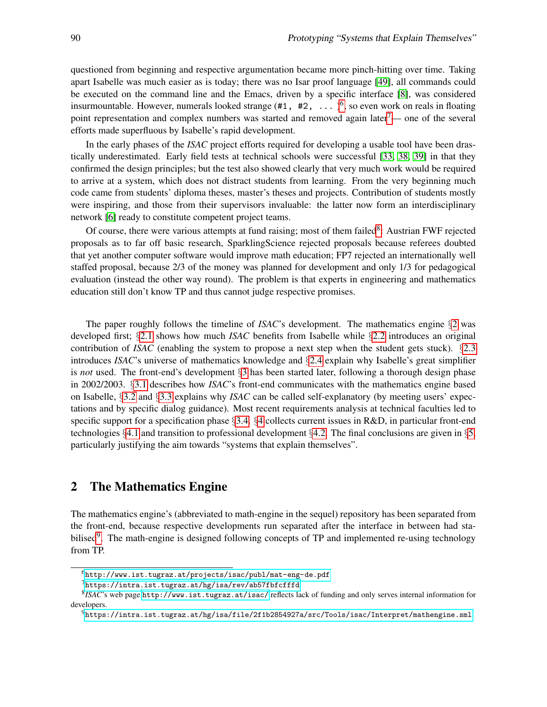questioned from beginning and respective argumentation became more pinch-hitting over time. Taking apart Isabelle was much easier as is today; there was no Isar proof language [\[49\]](#page-18-1), all commands could be executed on the command line and the Emacs, driven by a specific interface [\[8\]](#page-15-2), was considered insurmountable. However, numerals looked strange  $(\texttt{\#1}, \texttt{\#2}, \ldots)^6$  $(\texttt{\#1}, \texttt{\#2}, \ldots)^6$ , so even work on reals in floating point representation and complex numbers was started and removed again later<sup>[7](#page-1-1)</sup>— one of the several efforts made superfluous by Isabelle's rapid development.

In the early phases of the *ISAC* project efforts required for developing a usable tool have been drastically underestimated. Early field tests at technical schools were successful [\[33,](#page-16-0) [38,](#page-17-0) [39\]](#page-17-1) in that they confirmed the design principles; but the test also showed clearly that very much work would be required to arrive at a system, which does not distract students from learning. From the very beginning much code came from students' diploma theses, master's theses and projects. Contribution of students mostly were inspiring, and those from their supervisors invaluable: the latter now form an interdisciplinary network [\[6\]](#page-15-3) ready to constitute competent project teams.

Of course, there were various attempts at fund raising; most of them failed<sup>[8](#page-1-2)</sup>: Austrian FWF rejected proposals as to far off basic research, SparklingScience rejected proposals because referees doubted that yet another computer software would improve math education; FP7 rejected an internationally well staffed proposal, because 2/3 of the money was planned for development and only 1/3 for pedagogical evaluation (instead the other way round). The problem is that experts in engineering and mathematics education still don't know TP and thus cannot judge respective promises.

The paper roughly follows the timeline of *ISAC*'s development. The mathematics engine §[2](#page-1-3) was developed first; §[2.1](#page-2-0) shows how much *ISAC* benefits from Isabelle while §[2.2](#page-3-0) introduces an original contribution of *ISAC* (enabling the system to propose a next step when the student gets stuck). §[2.3](#page-4-0) introduces *ISAC*'s universe of mathematics knowledge and §[2.4](#page-5-0) explain why Isabelle's great simplifier is *not* used. The front-end's development §[3](#page-6-0) has been started later, following a thorough design phase in 2002/2003. §[3.1](#page-6-1) describes how *ISAC*'s front-end communicates with the mathematics engine based on Isabelle, §[3.2](#page-7-0) and §[3.3](#page-8-0) explains why *ISAC* can be called self-explanatory (by meeting users' expectations and by specific dialog guidance). Most recent requirements analysis at technical faculties led to specific support for a specification phase  $\S 3.4. \S 4$  $\S 3.4. \S 4$  $\S 3.4. \S 4$  $\S 3.4. \S 4$  collects current issues in R&D, in particular front-end technologies §[4.1](#page-13-0) and transition to professional development §[4.2.](#page-13-1) The final conclusions are given in §[5,](#page-14-0) particularly justifying the aim towards "systems that explain themselves".

# <span id="page-1-3"></span>2 The Mathematics Engine

The mathematics engine's (abbreviated to math-engine in the sequel) repository has been separated from the front-end, because respective developments run separated after the interface in between had sta-bilised<sup>[9](#page-1-4)</sup>. The math-engine is designed following concepts of TP and implemented re-using technology from TP.

<span id="page-1-0"></span> $<sup>6</sup>$ <http://www.ist.tugraz.at/projects/isac/publ/mat-eng-de.pdf></sup>

<span id="page-1-2"></span><span id="page-1-1"></span><sup>7</sup><https://intra.ist.tugraz.at/hg/isa/rev/ab57fbfcfffd>

<sup>8</sup> *ISAC*'s web page <http://www.ist.tugraz.at/isac/> reflects lack of funding and only serves internal information for developers.

<span id="page-1-4"></span><sup>9</sup><https://intra.ist.tugraz.at/hg/isa/file/2f1b2854927a/src/Tools/isac/Interpret/mathengine.sml>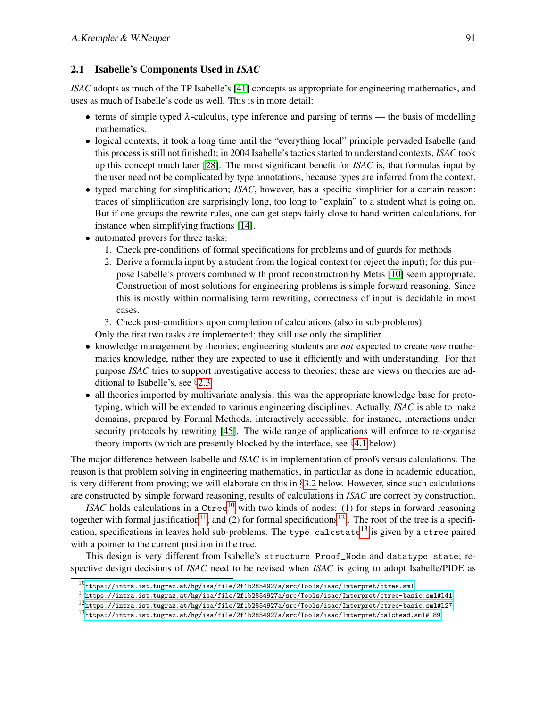### <span id="page-2-0"></span>2.1 Isabelle's Components Used in *ISAC*

*ISAC* adopts as much of the TP Isabelle's [\[41\]](#page-17-2) concepts as appropriate for engineering mathematics, and uses as much of Isabelle's code as well. This is in more detail:

- terms of simple typed  $\lambda$ -calculus, type inference and parsing of terms the basis of modelling mathematics.
- logical contexts; it took a long time until the "everything local" principle pervaded Isabelle (and this process is still not finished); in 2004 Isabelle's tactics started to understand contexts, *ISAC* took up this concept much later [\[28\]](#page-16-1). The most significant benefit for *ISAC* is, that formulas input by the user need not be complicated by type annotations, because types are inferred from the context.
- typed matching for simplification; *ISAC*, however, has a specific simplifier for a certain reason: traces of simplification are surprisingly long, too long to "explain" to a student what is going on. But if one groups the rewrite rules, one can get steps fairly close to hand-written calculations, for instance when simplifying fractions [\[14\]](#page-15-4).
- <span id="page-2-5"></span>• automated provers for three tasks:
	- 1. Check pre-conditions of formal specifications for problems and of guards for methods
	- 2. Derive a formula input by a student from the logical context (or reject the input); for this purpose Isabelle's provers combined with proof reconstruction by Metis [\[10\]](#page-15-5) seem appropriate. Construction of most solutions for engineering problems is simple forward reasoning. Since this is mostly within normalising term rewriting, correctness of input is decidable in most cases.
	- 3. Check post-conditions upon completion of calculations (also in sub-problems).
	- Only the first two tasks are implemented; they still use only the simplifier.
- knowledge management by theories; engineering students are *not* expected to create *new* mathematics knowledge, rather they are expected to use it efficiently and with understanding. For that purpose *ISAC* tries to support investigative access to theories; these are views on theories are additional to Isabelle's, see §[2.3](#page-4-0)
- all theories imported by multivariate analysis; this was the appropriate knowledge base for prototyping, which will be extended to various engineering disciplines. Actually, *ISAC* is able to make domains, prepared by Formal Methods, interactively accessible, for instance, interactions under security protocols by rewriting [\[45\]](#page-17-3). The wide range of applications will enforce to re-organise theory imports (which are presently blocked by the interface, see §[4.1](#page-13-0) below)

The major difference between Isabelle and *ISAC* is in implementation of proofs versus calculations. The reason is that problem solving in engineering mathematics, in particular as done in academic education, is very different from proving; we will elaborate on this in  $\S 3.2$  $\S 3.2$  below. However, since such calculations are constructed by simple forward reasoning, results of calculations in *ISAC* are correct by construction.

*ISAC* holds calculations in a Ctree<sup>[10](#page-2-1)</sup> with two kinds of nodes: (1) for steps in forward reasoning together with formal justification<sup>[11](#page-2-2)</sup>, and (2) for formal specifications<sup>[12](#page-2-3)</sup>,. The root of the tree is a specifi-cation, specifications in leaves hold sub-problems. The type calcstate<sup>[13](#page-2-4)</sup> is given by a ctree paired with a pointer to the current position in the tree.

This design is very different from Isabelle's structure Proof\_Node and datatype state; respective design decisions of *ISAC* need to be revised when *ISAC* is going to adopt Isabelle/PIDE as

<span id="page-2-2"></span> $^{11}\rm{https://intra.ist.tugraz.at/hg/isa/file/2f1b2854927a/src/Tools/isac/Interpret/ctree-basic.sml#141}$ 

<span id="page-2-1"></span> $^{10}\rm{https://intra.ist.tugraz.at/hg/isa/file/2f1b2854927a/src/Tools/isac/Interpret/ctree.sml}$  $^{10}\rm{https://intra.ist.tugraz.at/hg/isa/file/2f1b2854927a/src/Tools/isac/Interpret/ctree.sml}$  $^{10}\rm{https://intra.ist.tugraz.at/hg/isa/file/2f1b2854927a/src/Tools/isac/Interpret/ctree.sml}$ 

<span id="page-2-3"></span> $^{12}$ https://intra.ist.tugraz.at/hg/isa/file/2f1b2854927a/src/Tools/isac/Interpret/ctree-basic.sml#127

<span id="page-2-4"></span><sup>13</sup><https://intra.ist.tugraz.at/hg/isa/file/2f1b2854927a/src/Tools/isac/Interpret/calchead.sml#l89>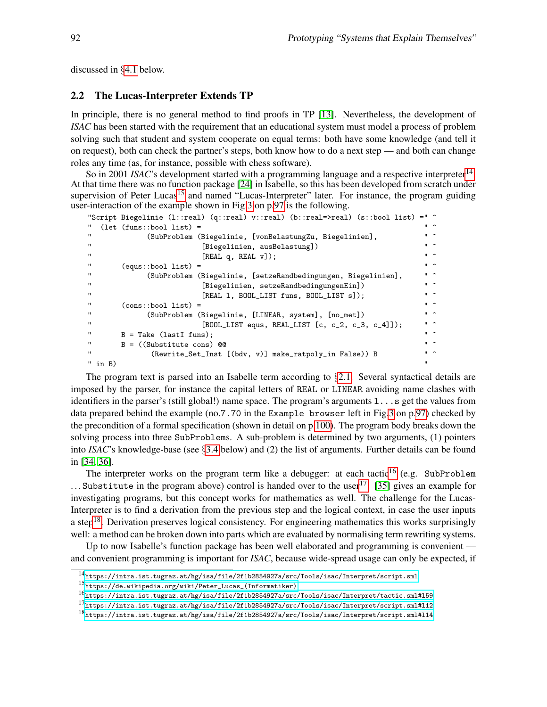discussed in §[4.1](#page-13-0) below.

#### <span id="page-3-0"></span>2.2 The Lucas-Interpreter Extends TP

In principle, there is no general method to find proofs in TP [\[13\]](#page-15-6). Nevertheless, the development of *ISAC* has been started with the requirement that an educational system must model a process of problem solving such that student and system cooperate on equal terms: both have some knowledge (and tell it on request), both can check the partner's steps, both know how to do a next step — and both can change roles any time (as, for instance, possible with chess software).

So in 2001 *ISAC*'s development started with a programming language and a respective interpreter<sup>[14](#page-3-1)</sup>. At that time there was no function package [\[24\]](#page-16-2) in Isabelle, so this has been developed from scratch under supervision of Peter Lucas<sup>[15](#page-3-2)</sup> and named "Lucas-Interpreter" later. For instance, the program guiding user-interaction of the example shown in Fig[.3](#page-8-1) on p[.97](#page-8-1) is the following.

```
"Script Biegelinie (l::real) (q::real) v::real) (b::real=>real) (s::bool list) =" \hat{ }"
" (let (funs::bool list) = " ^
" (SubProblem (Biegelinie, [vonBelastungZu, Biegelinien], " ^<br>" [Biogolinien ausBolastung]) " " ^
" [Biegelinien, ausBelastung]) " ^
"<br>[REAL q, REAL v]; " " "" (equs::bool list) =<br>" (SubProblem (Biogolinie, [setzeBandbedingungen, Biogolinien], " ^
" (SubProblem (Biegelinie, [setzeRandbedingungen, Biegelinien], " ^
" [Biegelinien, setzeRandbedingungenEin]) " ^
                                      [REAL 1, B00L_LIST \text{ finns}, B00L_LIST s]; " ^
           \text{(cons::bool list)} = \frac{\text{(CuhPunklaw (Diconlinistic intP. current)} \quad \text{[in with the image]} \quad \text{[in with the image]} \quad \text{[in with the image]} \quad \text{[in with the image]} \quad \text{[in with the image]} \quad \text{[in with the image]} \quad \text{[in with the image]} \quad \text{[in with the image]} \quad \text{[in with the image]} \quad \text{[in with the image]} \quad \text{[in with the image]} \quad \text{[in with the image]} \quad \text{[in with the image]} \quad \text{[in with the image]} \quad \text{[in with the image]} \quad \text{[in with the image]} \quad \text{[in with the image]} \quad \text(SubProblem (Biegelinie, [LINEAR, system], [no\_met]) " \uparrow " \uparrow" [BOOL_LIST\ equals\ RELLIST\ [c\ ,\ c_2\ ,\ c_3\ ,\ c_4]]; [800L_LUST\ =\ qus\ ,\ RELLIST\ [c\ ,\ c_2\ ,\ c_3\ ,\ c_4]]B = \text{Take (lastI funs)};B = ((Substitute cons) @<br>
"
(Reurite Set Inst [(bdy y)] make ratroly in Falso)) R
                     (Rewrite_Set_Inst [(bdv, v)] make_ratpoly_in False)) B
\mathsf{m} in B) and the set of the set of the set of the set of the set of the set of the set of the set of the set of the set of the set of the set of the set of the set of the set of the set of the set of the set of the
```
The program text is parsed into an Isabelle term according to  $\S$ [2.1.](#page-2-0) Several syntactical details are imposed by the parser, for instance the capital letters of REAL or LINEAR avoiding name clashes with identifiers in the parser's (still global!) name space. The program's arguments l...s get the values from data prepared behind the example (no.7.70 in the Example browser left in Fig[.3](#page-8-1) on p[.97\)](#page-8-1) checked by the precondition of a formal specification (shown in detail on p[.100\)](#page-11-0). The program body breaks down the solving process into three SubProblems. A sub-problem is determined by two arguments, (1) pointers into *ISAC*'s knowledge-base (see §[3.4](#page-11-0) below) and (2) the list of arguments. Further details can be found in [\[34,](#page-17-4) [36\]](#page-17-5).

The interpreter works on the program term like a debugger: at each tactic<sup>[16](#page-3-3)</sup> (e.g. SubProblem ... Substitute in the program above) control is handed over to the user<sup>[17](#page-3-4)</sup>. [\[35\]](#page-17-6) gives an example for investigating programs, but this concept works for mathematics as well. The challenge for the Lucas-Interpreter is to find a derivation from the previous step and the logical context, in case the user inputs a step<sup>[18](#page-3-5)</sup>. Derivation preserves logical consistency. For engineering mathematics this works surprisingly well: a method can be broken down into parts which are evaluated by normalising term rewriting systems.

Up to now Isabelle's function package has been well elaborated and programming is convenient and convenient programming is important for *ISAC*, because wide-spread usage can only be expected, if

<span id="page-3-1"></span> $^{14}\rm{https://intra.ist.tugraz.at/hg/isa/file/2f1b2854927a/src/Tools/isac/Interpret/script.sml}$  $^{14}\rm{https://intra.ist.tugraz.at/hg/isa/file/2f1b2854927a/src/Tools/isac/Interpret/script.sml}$  $^{14}\rm{https://intra.ist.tugraz.at/hg/isa/file/2f1b2854927a/src/Tools/isac/Interpret/script.sml}$ 

<span id="page-3-2"></span><sup>15</sup>[https://de.wikipedia.org/wiki/Peter\\_Lucas\\_\(Informatiker\)](https://de.wikipedia.org/wiki/Peter_Lucas_(Informatiker))

<span id="page-3-3"></span> $^{16}\rm{https://intra.ist.tugraz.at/hg/isa/file/2f1b2854927a/src/Tools/isac/Interpret/tactic.sml#159}$ 

<span id="page-3-4"></span> $^{17}$ <https://intra.ist.tugraz.at/hg/isa/file/2f1b2854927a/src/Tools/isac/Interpret/script.sml#l12>

<span id="page-3-5"></span><sup>18</sup><https://intra.ist.tugraz.at/hg/isa/file/2f1b2854927a/src/Tools/isac/Interpret/script.sml#l14>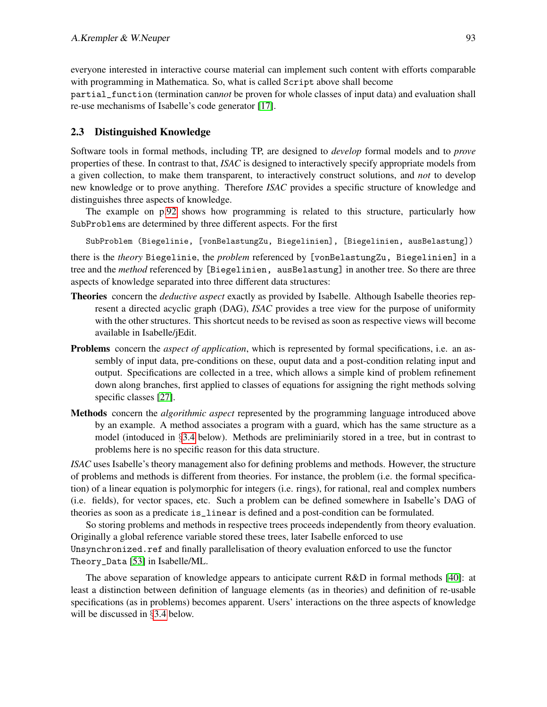everyone interested in interactive course material can implement such content with efforts comparable with programming in Mathematica. So, what is called Script above shall become

partial\_function (termination can*not* be proven for whole classes of input data) and evaluation shall re-use mechanisms of Isabelle's code generator [\[17\]](#page-16-3).

### <span id="page-4-0"></span>2.3 Distinguished Knowledge

Software tools in formal methods, including TP, are designed to *develop* formal models and to *prove* properties of these. In contrast to that, *ISAC* is designed to interactively specify appropriate models from a given collection, to make them transparent, to interactively construct solutions, and *not* to develop new knowledge or to prove anything. Therefore *ISAC* provides a specific structure of knowledge and distinguishes three aspects of knowledge.

The example on p[.92](#page-3-0) shows how programming is related to this structure, particularly how SubProblems are determined by three different aspects. For the first

SubProblem (Biegelinie, [vonBelastungZu, Biegelinien], [Biegelinien, ausBelastung])

there is the *theory* Biegelinie, the *problem* referenced by [vonBelastungZu, Biegelinien] in a tree and the *method* referenced by [Biegelinien, ausBelastung] in another tree. So there are three aspects of knowledge separated into three different data structures:

- Theories concern the *deductive aspect* exactly as provided by Isabelle. Although Isabelle theories represent a directed acyclic graph (DAG), *ISAC* provides a tree view for the purpose of uniformity with the other structures. This shortcut needs to be revised as soon as respective views will become available in Isabelle/jEdit.
- Problems concern the *aspect of application*, which is represented by formal specifications, i.e. an assembly of input data, pre-conditions on these, ouput data and a post-condition relating input and output. Specifications are collected in a tree, which allows a simple kind of problem refinement down along branches, first applied to classes of equations for assigning the right methods solving specific classes [\[27\]](#page-16-4).
- Methods concern the *algorithmic aspect* represented by the programming language introduced above by an example. A method associates a program with a guard, which has the same structure as a model (intoduced in §[3.4](#page-11-0) below). Methods are preliminiarily stored in a tree, but in contrast to problems here is no specific reason for this data structure.

*ISAC* uses Isabelle's theory management also for defining problems and methods. However, the structure of problems and methods is different from theories. For instance, the problem (i.e. the formal specification) of a linear equation is polymorphic for integers (i.e. rings), for rational, real and complex numbers (i.e. fields), for vector spaces, etc. Such a problem can be defined somewhere in Isabelle's DAG of theories as soon as a predicate is\_linear is defined and a post-condition can be formulated.

So storing problems and methods in respective trees proceeds independently from theory evaluation. Originally a global reference variable stored these trees, later Isabelle enforced to use Unsynchronized.ref and finally parallelisation of theory evaluation enforced to use the functor Theory\_Data [\[53\]](#page-18-2) in Isabelle/ML.

The above separation of knowledge appears to anticipate current R&D in formal methods [\[40\]](#page-17-7): at least a distinction between definition of language elements (as in theories) and definition of re-usable specifications (as in problems) becomes apparent. Users' interactions on the three aspects of knowledge will be discussed in §[3.4](#page-11-0) below.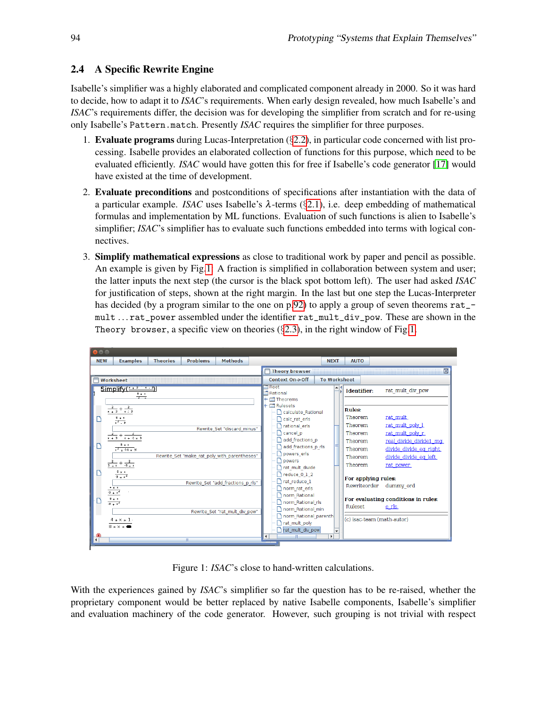# <span id="page-5-0"></span>2.4 A Specific Rewrite Engine

Isabelle's simplifier was a highly elaborated and complicated component already in 2000. So it was hard to decide, how to adapt it to *ISAC*'s requirements. When early design revealed, how much Isabelle's and *ISAC*'s requirements differ, the decision was for developing the simplifier from scratch and for re-using only Isabelle's Pattern.match. Presently *ISAC* requires the simplifier for three purposes.

- 1. Evaluate programs during Lucas-Interpretation (§[2.2\)](#page-3-0), in particular code concerned with list processing. Isabelle provides an elaborated collection of functions for this purpose, which need to be evaluated efficiently. *ISAC* would have gotten this for free if Isabelle's code generator [\[17\]](#page-16-3) would have existed at the time of development.
- 2. Evaluate preconditions and postconditions of specifications after instantiation with the data of a particular example. *ISAC* uses Isabelle's λ-terms (§[2.1\)](#page-2-0), i.e. deep embedding of mathematical formulas and implementation by ML functions. Evaluation of such functions is alien to Isabelle's simplifier; *ISAC*'s simplifier has to evaluate such functions embedded into terms with logical connectives.
- 3. Simplify mathematical expressions as close to traditional work by paper and pencil as possible. An example is given by Fig[.1:](#page-5-1) A fraction is simplified in collaboration between system and user; the latter inputs the next step (the cursor is the black spot bottom left). The user had asked *ISAC* for justification of steps, shown at the right margin. In the last but one step the Lucas-Interpreter has decided (by a program similar to the one on p[.92\)](#page-3-0) to apply a group of seven theorems  $rat_{-}$ mult . . . rat\_power assembled under the identifier rat\_mult\_div\_pow. These are shown in the Theory browser, a specific view on theories  $(\S 2.3)$  $(\S 2.3)$ , in the right window of Fig[.1.](#page-5-1)

| $x \ominus \square$ |                                                                  |                                   |                                              |                             |  |                                    |                                                           |              |                                                  |                                |                                                                           |  |
|---------------------|------------------------------------------------------------------|-----------------------------------|----------------------------------------------|-----------------------------|--|------------------------------------|-----------------------------------------------------------|--------------|--------------------------------------------------|--------------------------------|---------------------------------------------------------------------------|--|
| <b>NEW</b>          | <b>Examples</b>                                                  | <b>Theories</b>                   | <b>Problems</b>                              | <b>Methods</b>              |  |                                    |                                                           | <b>NEXT</b>  |                                                  | <b>AUTO</b>                    |                                                                           |  |
|                     |                                                                  |                                   |                                              |                             |  |                                    | Theory browser                                            |              |                                                  |                                | 区                                                                         |  |
|                     | Worksheet<br>╒                                                   |                                   |                                              |                             |  |                                    | <b>To Worksheet</b><br>Context On->Off                    |              |                                                  |                                |                                                                           |  |
|                     | $Simplify(\frac{x+3}{x}, \frac{y+3}{x})$                         |                                   |                                              |                             |  | $\neg$ Root<br>Rational            | → Theorems                                                |              | ≜                                                | Identifier:                    | rat mult div pow                                                          |  |
|                     | $\frac{2}{x+3} + \frac{2}{x+3}$                                  |                                   |                                              |                             |  |                                    | $\left  \cdot \right $ Rulesets<br>calculate_Rational     |              |                                                  | <b>Rules:</b><br>Theorem       | rat mult                                                                  |  |
|                     | $\frac{8 \times x}{x^2 - 9}$<br>$\frac{z}{x+3}+\frac{z}{x+4x+3}$ |                                   |                                              | Rewrite Set "discard minus" |  |                                    | calc rat erls<br>rational erls<br>Cancel p                |              |                                                  | Theorem<br>Theorem             | rat mult poly 1<br>rat mult poly r                                        |  |
|                     | $x = 8$<br>$x^2 + (1 \times 9)$                                  |                                   | Rewrite_Set "make_rat_poly_with_parentheses" |                             |  |                                    | add fractions p<br>add fractions p rls<br>powers erls     |              |                                                  | Theorem<br>Theorem<br>Theorem  | real divide divide1 mq<br>divide divide eq right<br>divide divide eq left |  |
|                     | $\frac{2}{3+x} + \frac{2}{3+x}$<br>$\frac{8 x x}{-9 + x^2}$      |                                   |                                              |                             |  |                                    | powers<br>rat mult divide<br>reduce_0_1_2<br>rat reduce 1 |              |                                                  | Theorem<br>For applying rules: | rat power                                                                 |  |
|                     | $\frac{4 \times x}{9 + x^2}$<br>$8 \times x$<br>$-9 + x^2$       | Rewrite Set "add fractions p rls" |                                              |                             |  | norm Rational<br>norm Rational rls |                                                           | Rewriteorder | dummy ord<br>For evaluating conditions in rules: |                                |                                                                           |  |
|                     | $\begin{array}{c} 4 * \times * 1 \\ 8 * \times * \end{array}$    | Rewrite Set "rat mult div pow"    |                                              |                             |  |                                    | norm Rational min<br>norm Rational parenth                |              | Ruleset<br>e ris<br>(c) isac-team (math-autor)   |                                |                                                                           |  |
| $\left  \right $    |                                                                  |                                   | m.                                           |                             |  | $\blacktriangleleft$               | rat mult div pow                                          | $\mathbf{E}$ | $\overline{\mathbf{v}}$                          |                                |                                                                           |  |

<span id="page-5-1"></span>Figure 1: *ISAC*'s close to hand-written calculations.

With the experiences gained by *ISAC*'s simplifier so far the question has to be re-raised, whether the proprietary component would be better replaced by native Isabelle components, Isabelle's simplifier and evaluation machinery of the code generator. However, such grouping is not trivial with respect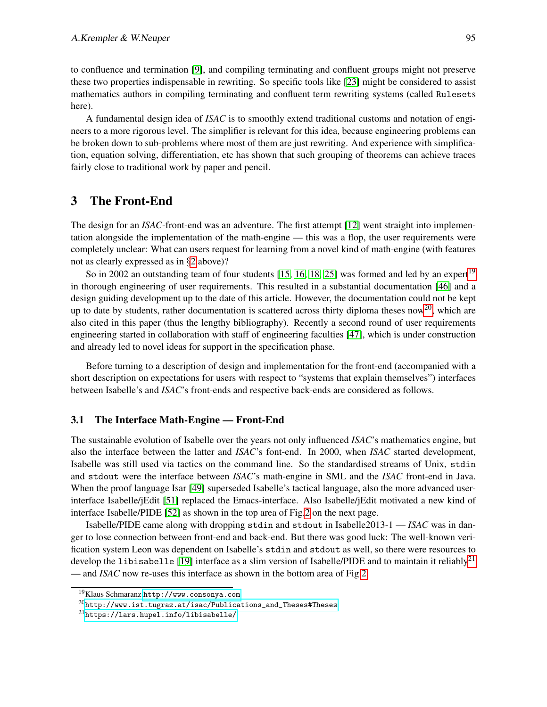to confluence and termination [\[9\]](#page-15-7), and compiling terminating and confluent groups might not preserve these two properties indispensable in rewriting. So specific tools like [\[23\]](#page-16-5) might be considered to assist mathematics authors in compiling terminating and confluent term rewriting systems (called Rulesets here).

A fundamental design idea of *ISAC* is to smoothly extend traditional customs and notation of engineers to a more rigorous level. The simplifier is relevant for this idea, because engineering problems can be broken down to sub-problems where most of them are just rewriting. And experience with simplification, equation solving, differentiation, etc has shown that such grouping of theorems can achieve traces fairly close to traditional work by paper and pencil.

# <span id="page-6-0"></span>3 The Front-End

The design for an *ISAC*-front-end was an adventure. The first attempt [\[12\]](#page-15-8) went straight into implementation alongside the implementation of the math-engine — this was a flop, the user requirements were completely unclear: What can users request for learning from a novel kind of math-engine (with features not as clearly expressed as in §[2](#page-1-3) above)?

So in 2002 an outstanding team of four students  $[15, 16, 18, 25]$  $[15, 16, 18, 25]$  $[15, 16, 18, 25]$  $[15, 16, 18, 25]$  was formed and led by an expert<sup>[19](#page-6-2)</sup> in thorough engineering of user requirements. This resulted in a substantial documentation [\[46\]](#page-17-8) and a design guiding development up to the date of this article. However, the documentation could not be kept up to date by students, rather documentation is scattered across thirty diploma theses now<sup>[20](#page-6-3)</sup>, which are also cited in this paper (thus the lengthy bibliography). Recently a second round of user requirements engineering started in collaboration with staff of engineering faculties [\[47\]](#page-17-9), which is under construction and already led to novel ideas for support in the specification phase.

Before turning to a description of design and implementation for the front-end (accompanied with a short description on expectations for users with respect to "systems that explain themselves") interfaces between Isabelle's and *ISAC*'s front-ends and respective back-ends are considered as follows.

#### <span id="page-6-1"></span>3.1 The Interface Math-Engine — Front-End

The sustainable evolution of Isabelle over the years not only influenced *ISAC*'s mathematics engine, but also the interface between the latter and *ISAC*'s font-end. In 2000, when *ISAC* started development, Isabelle was still used via tactics on the command line. So the standardised streams of Unix, stdin and stdout were the interface between *ISAC*'s math-engine in SML and the *ISAC* front-end in Java. When the proof language Isar [\[49\]](#page-18-1) superseded Isabelle's tactical language, also the more advanced userinterface Isabelle/jEdit [\[51\]](#page-18-3) replaced the Emacs-interface. Also Isabelle/jEdit motivated a new kind of interface Isabelle/PIDE [\[52\]](#page-18-4) as shown in the top area of Fig[.2](#page-7-1) on the next page.

Isabelle/PIDE came along with dropping stdin and stdout in Isabelle2013-1 — *ISAC* was in danger to lose connection between front-end and back-end. But there was good luck: The well-known verification system Leon was dependent on Isabelle's stdin and stdout as well, so there were resources to develop the libisabelle [\[19\]](#page-16-8) interface as a slim version of Isabelle/PIDE and to maintain it reliably<sup>[21](#page-6-4)</sup> — and *ISAC* now re-uses this interface as shown in the bottom area of Fig[.2.](#page-7-1)

<span id="page-6-2"></span><sup>19</sup>Klaus Schmaranz <http://www.consonya.com>.

<span id="page-6-3"></span> $^{20}$ [http://www.ist.tugraz.at/isac/Publications\\_and\\_Theses#Theses](http://www.ist.tugraz.at/isac/Publications_and_Theses#Theses)

<span id="page-6-4"></span><sup>21</sup><https://lars.hupel.info/libisabelle/>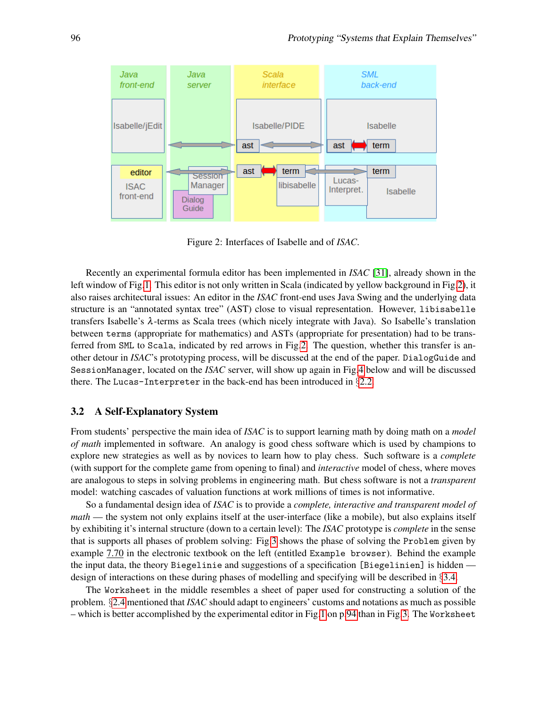

<span id="page-7-1"></span>Figure 2: Interfaces of Isabelle and of *ISAC*.

Recently an experimental formula editor has been implemented in *ISAC* [\[31\]](#page-16-9), already shown in the left window of Fig[.1.](#page-5-1) This editor is not only written in Scala (indicated by yellow background in Fig[.2\)](#page-7-1), it also raises architectural issues: An editor in the *ISAC* front-end uses Java Swing and the underlying data structure is an "annotated syntax tree" (AST) close to visual representation. However, libisabelle transfers Isabelle's λ-terms as Scala trees (which nicely integrate with Java). So Isabelle's translation between terms (appropriate for mathematics) and ASTs (appropriate for presentation) had to be transferred from SML to Scala, indicated by red arrows in Fig[.2.](#page-7-1) The question, whether this transfer is another detour in *ISAC*'s prototyping process, will be discussed at the end of the paper. DialogGuide and SessionManager, located on the *ISAC* server, will show up again in Fig[.4](#page-9-0) below and will be discussed there. The Lucas-Interpreter in the back-end has been introduced in §[2.2.](#page-3-0)

#### <span id="page-7-0"></span>3.2 A Self-Explanatory System

From students' perspective the main idea of *ISAC* is to support learning math by doing math on a *model of math* implemented in software. An analogy is good chess software which is used by champions to explore new strategies as well as by novices to learn how to play chess. Such software is a *complete* (with support for the complete game from opening to final) and *interactive* model of chess, where moves are analogous to steps in solving problems in engineering math. But chess software is not a *transparent* model: watching cascades of valuation functions at work millions of times is not informative.

So a fundamental design idea of *ISAC* is to provide a *complete, interactive and transparent model of math* — the system not only explains itself at the user-interface (like a mobile), but also explains itself by exhibiting it's internal structure (down to a certain level): The *ISAC* prototype is *complete* in the sense that is supports all phases of problem solving: Fig[.3](#page-8-1) shows the phase of solving the Problem given by example 7.70 in the electronic textbook on the left (entitled Example browser). Behind the example the input data, the theory Biegelinie and suggestions of a specification [Biegelinien] is hidden design of interactions on these during phases of modelling and specifying will be described in §[3.4.](#page-11-0)

The Worksheet in the middle resembles a sheet of paper used for constructing a solution of the problem. §[2.4](#page-5-0) mentioned that *ISAC* should adapt to engineers' customs and notations as much as possible – which is better accomplished by the experimental editor in Fig[.1](#page-5-1) on p[.94](#page-5-1) than in Fig[.3.](#page-8-1) The Worksheet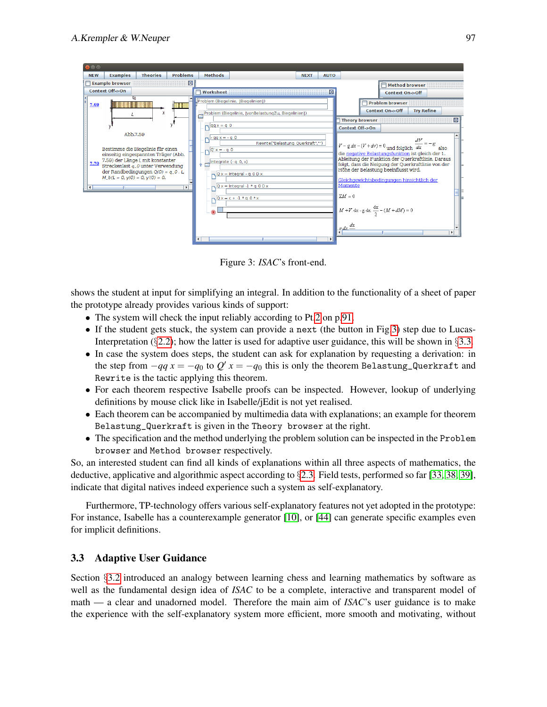| 888                                                                                                                                                                                                                                                                                                 |                                                                                                                                                                                                                                                                                                         |                                                                                                                                                       |                                                                                                                                                                                                                                                                                                                                                                                                                                                 |
|-----------------------------------------------------------------------------------------------------------------------------------------------------------------------------------------------------------------------------------------------------------------------------------------------------|---------------------------------------------------------------------------------------------------------------------------------------------------------------------------------------------------------------------------------------------------------------------------------------------------------|-------------------------------------------------------------------------------------------------------------------------------------------------------|-------------------------------------------------------------------------------------------------------------------------------------------------------------------------------------------------------------------------------------------------------------------------------------------------------------------------------------------------------------------------------------------------------------------------------------------------|
| <b>NEW</b><br><b>Problems</b><br><b>Examples</b><br><b>Theories</b>                                                                                                                                                                                                                                 | <b>Methods</b>                                                                                                                                                                                                                                                                                          | <b>NEXT</b><br><b>AUTO</b>                                                                                                                            |                                                                                                                                                                                                                                                                                                                                                                                                                                                 |
| <b>Example browser</b>                                                                                                                                                                                                                                                                              | 図                                                                                                                                                                                                                                                                                                       |                                                                                                                                                       | <b>Method browser</b>                                                                                                                                                                                                                                                                                                                                                                                                                           |
| Context Off->On                                                                                                                                                                                                                                                                                     | Worksheet                                                                                                                                                                                                                                                                                               | 区                                                                                                                                                     | Context On->Off                                                                                                                                                                                                                                                                                                                                                                                                                                 |
| 40<br>7.69<br>慢慢樹<br>x<br>Abb.7.59<br>Bestimme die Biegelinie für einen<br>einseitig eingespannten Träger (Abb.<br>7.59) der Länge L mit konstanter<br>7.70<br>Streckenlast q_0 unter Verwendung<br>der Randbedingungen $Q(0) = q_0 \cdot L$<br>$M_b(L = 0, y(0) = 0, y'(0) = 0.$<br>$\blacksquare$ | Problem (Biegelinie, [Biegelinien])<br>Problem (Biegelinie, [vonBelastungZu, Biegelinien])<br>$qa = q$<br>$qa = -q0$<br>$\log  Q $ x = - q 0<br>$\frac{1}{2}$ Integrate (- q 0, x)<br>$Qx = Integral - q O Dx$<br>$Qx =$ Integral -1 $* q$ OD x<br>$0x = c + -1 * a 0 * x$<br>$\blacktriangleleft$<br>Ш | <b>Theory browser</b><br>Context Off->On<br>Rewrite("Belastung Querkraft","")<br>Momente<br>$\Sigma M = 0$<br>$\int$ $\frac{e dx}{1}$<br>$\mathbf{F}$ | <b>Problem browser</b><br><b>Try Refine</b><br>Context On->Off<br>区<br>$V-g dx - (V + dv) = 0$ und folglich $\frac{dV}{dx} = -g$<br>also<br>die negative Belastungsfunktion ist gleich der 1.<br>Ableitung der Funktion der Querkraftlinie. Daraus<br>folgt, dass die Neigung der Querkraftlinie von der<br>Höhe der Belastung beeinflusst wird.<br>Gleichgewichtsbedingungen hinsichtlich der<br>$M + V dx - g dx \frac{dx}{2} - (M + dM) = 0$ |

<span id="page-8-1"></span>Figure 3: *ISAC*'s front-end.

shows the student at input for simplifying an integral. In addition to the functionality of a sheet of paper the prototype already provides various kinds of support:

- The system will check the input reliably according to Pt[.2](#page-2-5) on p[.91.](#page-2-5)
- If the student gets stuck, the system can provide a next (the button in Fig[.3\)](#page-8-1) step due to Lucas-Interpretation (§[2.2\)](#page-3-0); how the latter is used for adaptive user guidance, this will be shown in §[3.3.](#page-8-0)
- In case the system does steps, the student can ask for explanation by requesting a derivation: in the step from  $-qq x = -q_0$  to  $Q' x = -q_0$  this is only the theorem Belastung\_Querkraft and Rewrite is the tactic applying this theorem.
- For each theorem respective Isabelle proofs can be inspected. However, lookup of underlying definitions by mouse click like in Isabelle/jEdit is not yet realised.
- Each theorem can be accompanied by multimedia data with explanations; an example for theorem Belastung\_Querkraft is given in the Theory browser at the right.
- The specification and the method underlying the problem solution can be inspected in the Problem browser and Method browser respectively.

So, an interested student can find all kinds of explanations within all three aspects of mathematics, the deductive, applicative and algorithmic aspect according to §[2.3.](#page-4-0) Field tests, performed so far [\[33,](#page-16-0) [38,](#page-17-0) [39\]](#page-17-1), indicate that digital natives indeed experience such a system as self-explanatory.

Furthermore, TP-technology offers various self-explanatory features not yet adopted in the prototype: For instance, Isabelle has a counterexample generator [\[10\]](#page-15-5), or [\[44\]](#page-17-10) can generate specific examples even for implicit definitions.

### <span id="page-8-0"></span>3.3 Adaptive User Guidance

Section §[3.2](#page-7-0) introduced an analogy between learning chess and learning mathematics by software as well as the fundamental design idea of *ISAC* to be a complete, interactive and transparent model of math — a clear and unadorned model. Therefore the main aim of *ISAC*'s user guidance is to make the experience with the self-explanatory system more efficient, more smooth and motivating, without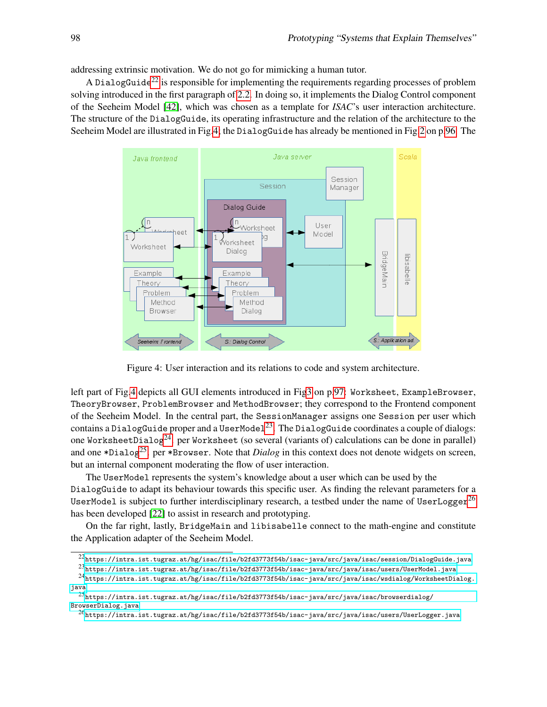addressing extrinsic motivation. We do not go for mimicking a human tutor.

A DialogGuide<sup>[22](#page-9-1)</sup> is responsible for implementing the requirements regarding processes of problem solving introduced in the first paragraph of [2.2.](#page-3-0) In doing so, it implements the Dialog Control component of the Seeheim Model [\[42\]](#page-17-11), which was chosen as a template for *ISAC*'s user interaction architecture. The structure of the DialogGuide, its operating infrastructure and the relation of the architecture to the Seeheim Model are illustrated in Fig[.4;](#page-9-0) the DialogGuide has already be mentioned in Fig[.2](#page-7-1) on p[.96.](#page-7-1) The



<span id="page-9-0"></span>Figure 4: User interaction and its relations to code and system architecture.

left part of Fig[.4](#page-9-0) depicts all GUI elements introduced in Fi[g3](#page-8-1) on p[.97:](#page-8-1) Worksheet, ExampleBrowser, TheoryBrowser, ProblemBrowser and MethodBrowser; they correspond to the Frontend component of the Seeheim Model. In the central part, the SessionManager assigns one Session per user which contains a DialogGuide proper and a UserModel<sup>[23](#page-9-2)</sup>. The DialogGuide coordinates a couple of dialogs: one WorksheetDialog<sup>[24](#page-9-3)</sup>, per Worksheet (so several (variants of) calculations can be done in parallel) and one \*Dialog[25](#page-9-4). per \*Browser. Note that *Dialog* in this context does not denote widgets on screen, but an internal component moderating the flow of user interaction.

The UserModel represents the system's knowledge about a user which can be used by the DialogGuide to adapt its behaviour towards this specific user. As finding the relevant parameters for a UserModel is subject to further interdisciplinary research, a testbed under the name of UserLogger<sup>[26](#page-9-5)</sup> has been developed [\[22\]](#page-16-10) to assist in research and prototyping.

On the far right, lastly, BridgeMain and libisabelle connect to the math-engine and constitute the Application adapter of the Seeheim Model.

<span id="page-9-1"></span> $^{22}$ ttps://intra.ist.tugraz.at/hg/isac/file/b2fd3773f54b/isac-java/src/java/isac/session/DialogGuide.java

<span id="page-9-3"></span><span id="page-9-2"></span> $^{23}$ kttps://intra.ist.tugraz.at/hg/isac/file/b2fd3773f54b/isac-java/src/java/isac/users/UserModel.java

 $^{24}$ [https://intra.ist.tugraz.at/hg/isac/file/b2fd3773f54b/isac-java/src/java/isac/wsdialog/WorksheetDialog.](https://intra.ist.tugraz.at/hg/isac/file/b2fd3773f54b/isac-java/src/java/isac/wsdialog/WorksheetDialog.java) [java](https://intra.ist.tugraz.at/hg/isac/file/b2fd3773f54b/isac-java/src/java/isac/wsdialog/WorksheetDialog.java)

<span id="page-9-4"></span><sup>25</sup>[https://intra.ist.tugraz.at/hg/isac/file/b2fd3773f54b/isac-java/src/java/isac/browserdialog/](https://intra.ist.tugraz.at/hg/isac/file/b2fd3773f54b/isac-java/src/java/isac/browserdialog/BrowserDialog.java) [BrowserDialog.java](https://intra.ist.tugraz.at/hg/isac/file/b2fd3773f54b/isac-java/src/java/isac/browserdialog/BrowserDialog.java)

<span id="page-9-5"></span> $^{26}$ <https://intra.ist.tugraz.at/hg/isac/file/b2fd3773f54b/isac-java/src/java/isac/users/UserLogger.java>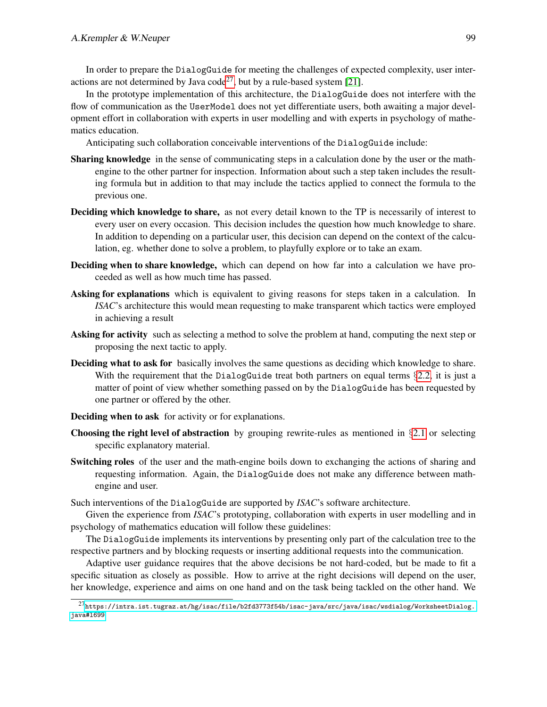In order to prepare the DialogGuide for meeting the challenges of expected complexity, user inter-actions are not determined by Java code<sup>[27](#page-10-0)</sup>, but by a rule-based system [\[21\]](#page-16-11).

In the prototype implementation of this architecture, the DialogGuide does not interfere with the flow of communication as the UserModel does not yet differentiate users, both awaiting a major development effort in collaboration with experts in user modelling and with experts in psychology of mathematics education.

Anticipating such collaboration conceivable interventions of the DialogGuide include:

- Sharing knowledge in the sense of communicating steps in a calculation done by the user or the mathengine to the other partner for inspection. Information about such a step taken includes the resulting formula but in addition to that may include the tactics applied to connect the formula to the previous one.
- Deciding which knowledge to share, as not every detail known to the TP is necessarily of interest to every user on every occasion. This decision includes the question how much knowledge to share. In addition to depending on a particular user, this decision can depend on the context of the calculation, eg. whether done to solve a problem, to playfully explore or to take an exam.
- Deciding when to share knowledge, which can depend on how far into a calculation we have proceeded as well as how much time has passed.
- Asking for explanations which is equivalent to giving reasons for steps taken in a calculation. In *ISAC*'s architecture this would mean requesting to make transparent which tactics were employed in achieving a result
- Asking for activity such as selecting a method to solve the problem at hand, computing the next step or proposing the next tactic to apply.
- Deciding what to ask for basically involves the same questions as deciding which knowledge to share. With the requirement that the DialogGuide treat both partners on equal terms §[2.2,](#page-3-0) it is just a matter of point of view whether something passed on by the DialogGuide has been requested by one partner or offered by the other.
- Deciding when to ask for activity or for explanations.
- **Choosing the right level of abstraction** by grouping rewrite-rules as mentioned in  $\S 2.1$  $\S 2.1$  or selecting specific explanatory material.
- Switching roles of the user and the math-engine boils down to exchanging the actions of sharing and requesting information. Again, the DialogGuide does not make any difference between mathengine and user.

Such interventions of the DialogGuide are supported by *ISAC*'s software architecture.

Given the experience from *ISAC*'s prototyping, collaboration with experts in user modelling and in psychology of mathematics education will follow these guidelines:

The DialogGuide implements its interventions by presenting only part of the calculation tree to the respective partners and by blocking requests or inserting additional requests into the communication.

Adaptive user guidance requires that the above decisions be not hard-coded, but be made to fit a specific situation as closely as possible. How to arrive at the right decisions will depend on the user, her knowledge, experience and aims on one hand and on the task being tackled on the other hand. We

<span id="page-10-0"></span> $^{27}$ [https://intra.ist.tugraz.at/hg/isac/file/b2fd3773f54b/isac-java/src/java/isac/wsdialog/WorksheetDialog.](https://intra.ist.tugraz.at/hg/isac/file/b2fd3773f54b/isac-java/src/java/isac/wsdialog/WorksheetDialog.java#l699) [java#l699](https://intra.ist.tugraz.at/hg/isac/file/b2fd3773f54b/isac-java/src/java/isac/wsdialog/WorksheetDialog.java#l699)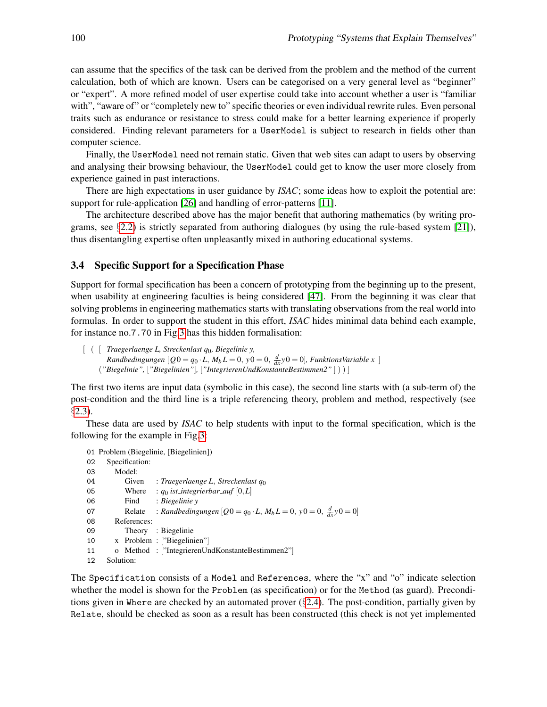can assume that the specifics of the task can be derived from the problem and the method of the current calculation, both of which are known. Users can be categorised on a very general level as "beginner" or "expert". A more refined model of user expertise could take into account whether a user is "familiar with", "aware of" or "completely new to" specific theories or even individual rewrite rules. Even personal traits such as endurance or resistance to stress could make for a better learning experience if properly considered. Finding relevant parameters for a UserModel is subject to research in fields other than computer science.

Finally, the UserModel need not remain static. Given that web sites can adapt to users by observing and analysing their browsing behaviour, the UserModel could get to know the user more closely from experience gained in past interactions.

There are high expectations in user guidance by *ISAC*; some ideas how to exploit the potential are: support for rule-application [\[26\]](#page-16-12) and handling of error-patterns [\[11\]](#page-15-11).

The architecture described above has the major benefit that authoring mathematics (by writing programs, see  $\S2.2$ ) is strictly separated from authoring dialogues (by using the rule-based system [\[21\]](#page-16-11)), thus disentangling expertise often unpleasantly mixed in authoring educational systems.

#### <span id="page-11-0"></span>3.4 Specific Support for a Specification Phase

Support for formal specification has been a concern of prototyping from the beginning up to the present, when usability at engineering faculties is being considered [\[47\]](#page-17-9). From the beginning it was clear that solving problems in engineering mathematics starts with translating observations from the real world into formulas. In order to support the student in this effort, *ISAC* hides minimal data behind each example, for instance no.7.70 in Fig[.3](#page-8-1) has this hidden formalisation:

```
[ ( [ Traegerlaenge L, Streckenlast q0, Biegelinie y,
        Randbedingungen [Q0 = q_0 \cdot L, M_b L = 0, y0 = 0, \frac{d}{dx}y0 = 0], FunktionsVariable x ]
     ("Biegelinie", ["Biegelinien"], ["IntegrierenUndKonstanteBestimmen2" ] ) ) ]
```
The first two items are input data (symbolic in this case), the second line starts with (a sub-term of) the post-condition and the third line is a triple referencing theory, problem and method, respectively (see §[2.3\)](#page-4-0).

These data are used by *ISAC* to help students with input to the formal specification, which is the following for the example in Fig[.3:](#page-8-1)

```
01 Problem (Biegelinie, [Biegelinien])
02 Specification:
03 Model:
04 Given : Traegerlaenge L, Streckenlast q<sub>0</sub><br>05 Where : go ist integrierhar quf [0 I]
           Where : q_0 ist_integrierbar_auf [0,L]06 Find : Biegelinie y
07 Relate : Randbedingungen [Q0 = q_0 \cdot L, M_b L = 0, y0 = 0, \frac{d}{dx}y0 = 0]08 References:
09 Theory : Biegelinie
10 x Problem : ["Biegelinien"]
11 o Method : ["IntegrierenUndKonstanteBestimmen2"]
12 Solution:
```
The Specification consists of a Model and References, where the "x" and "o" indicate selection whether the model is shown for the Problem (as specification) or for the Method (as guard). Preconditions given in Where are checked by an automated prover (§[2.4\)](#page-5-0). The post-condition, partially given by Relate, should be checked as soon as a result has been constructed (this check is not yet implemented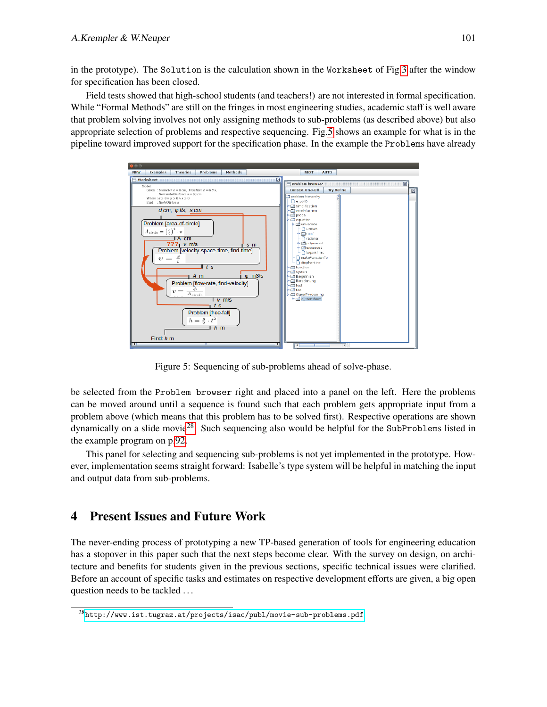in the prototype). The Solution is the calculation shown in the Worksheet of Fig[.3](#page-8-1) after the window for specification has been closed.

Field tests showed that high-school students (and teachers!) are not interested in formal specification. While "Formal Methods" are still on the fringes in most engineering studies, academic staff is well aware that problem solving involves not only assigning methods to sub-problems (as described above) but also appropriate selection of problems and respective sequencing. Fig[.5](#page-12-1) shows an example for what is in the pipeline toward improved support for the specification phase. In the example the Problems have already



<span id="page-12-1"></span>Figure 5: Sequencing of sub-problems ahead of solve-phase.

be selected from the Problem browser right and placed into a panel on the left. Here the problems can be moved around until a sequence is found such that each problem gets appropriate input from a problem above (which means that this problem has to be solved first). Respective operations are shown dynamically on a slide movie<sup>[28](#page-12-2)</sup>. Such sequencing also would be helpful for the SubProblems listed in the example program on p[.92.](#page-3-0)

This panel for selecting and sequencing sub-problems is not yet implemented in the prototype. However, implementation seems straight forward: Isabelle's type system will be helpful in matching the input and output data from sub-problems.

# <span id="page-12-0"></span>4 Present Issues and Future Work

The never-ending process of prototyping a new TP-based generation of tools for engineering education has a stopover in this paper such that the next steps become clear. With the survey on design, on architecture and benefits for students given in the previous sections, specific technical issues were clarified. Before an account of specific tasks and estimates on respective development efforts are given, a big open question needs to be tackled ...

<span id="page-12-2"></span> $28$ <http://www.ist.tugraz.at/projects/isac/publ/movie-sub-problems.pdf>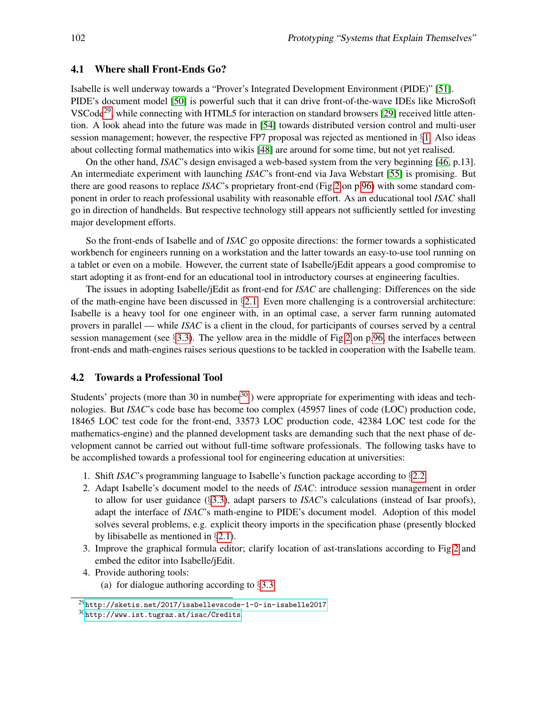#### <span id="page-13-0"></span>4.1 Where shall Front-Ends Go?

Isabelle is well underway towards a "Prover's Integrated Development Environment (PIDE)" [\[51\]](#page-18-3). PIDE's document model [\[50\]](#page-18-5) is powerful such that it can drive front-of-the-wave IDEs like MicroSoft VSCode<sup>[29](#page-13-2)</sup>, while connecting with HTML5 for interaction on standard browsers [\[29\]](#page-16-13) received little attention. A look ahead into the future was made in [\[54\]](#page-18-6) towards distributed version control and multi-user session management; however, the respective FP7 proposal was rejected as mentioned in §[1.](#page-0-5) Also ideas about collecting formal mathematics into wikis [\[48\]](#page-17-12) are around for some time, but not yet realised.

On the other hand, *ISAC*'s design envisaged a web-based system from the very beginning [\[46,](#page-17-8) p.13]. An intermediate experiment with launching *ISAC*'s front-end via Java Webstart [\[55\]](#page-18-7) is promising. But there are good reasons to replace *ISAC*'s proprietary front-end (Fig[.2](#page-7-1) on p[.96\)](#page-7-1) with some standard component in order to reach professional usability with reasonable effort. As an educational tool *ISAC* shall go in direction of handhelds. But respective technology still appears not sufficiently settled for investing major development efforts.

So the front-ends of Isabelle and of *ISAC* go opposite directions: the former towards a sophisticated workbench for engineers running on a workstation and the latter towards an easy-to-use tool running on a tablet or even on a mobile. However, the current state of Isabelle/jEdit appears a good compromise to start adopting it as front-end for an educational tool in introductory courses at engineering faculties.

The issues in adopting Isabelle/jEdit as front-end for *ISAC* are challenging: Differences on the side of the math-engine have been discussed in  $\S$ [2.1.](#page-2-0) Even more challenging is a controversial architecture: Isabelle is a heavy tool for one engineer with, in an optimal case, a server farm running automated provers in parallel — while *ISAC* is a client in the cloud, for participants of courses served by a central session management (see §[3.3\)](#page-8-0). The yellow area in the middle of Fig[.2](#page-7-1) on p[.96,](#page-7-1) the interfaces between front-ends and math-engines raises serious questions to be tackled in cooperation with the Isabelle team.

#### <span id="page-13-1"></span>4.2 Towards a Professional Tool

Students' projects (more than [30](#page-13-3) in number  $30$ ) were appropriate for experimenting with ideas and technologies. But *ISAC*'s code base has become too complex (45957 lines of code (LOC) production code, 18465 LOC test code for the front-end, 33573 LOC production code, 42384 LOC test code for the mathematics-engine) and the planned development tasks are demanding such that the next phase of development cannot be carried out without full-time software professionals. The following tasks have to be accomplished towards a professional tool for engineering education at universities:

- 1. Shift *ISAC*'s programming language to Isabelle's function package according to §[2.2.](#page-3-0)
- 2. Adapt Isabelle's document model to the needs of *ISAC*: introduce session management in order to allow for user guidance (§[3.3\)](#page-8-0), adapt parsers to *ISAC*'s calculations (instead of Isar proofs), adapt the interface of *ISAC*'s math-engine to PIDE's document model. Adoption of this model solves several problems, e.g. explicit theory imports in the specification phase (presently blocked by libisabelle as mentioned in §[2.1\)](#page-2-0).
- 3. Improve the graphical formula editor; clarify location of ast-translations according to Fig[.2](#page-7-1) and embed the editor into Isabelle/jEdit.
- 4. Provide authoring tools: (a) for dialogue authoring according to §[3.3](#page-8-0)

<span id="page-13-2"></span><sup>29</sup><http://sketis.net/2017/isabellevscode-1-0-in-isabelle2017>

<span id="page-13-3"></span> $30$ <http://www.ist.tugraz.at/isac/Credits>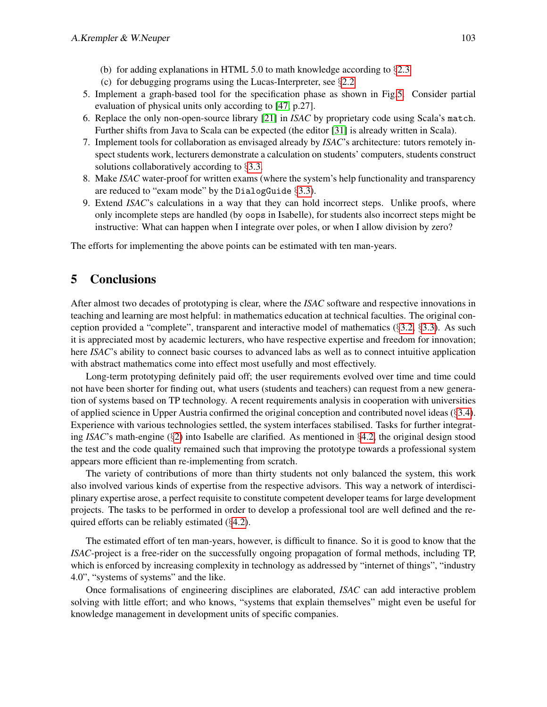- (b) for adding explanations in HTML 5.0 to math knowledge according to §[2.3](#page-4-0)
- (c) for debugging programs using the Lucas-Interpreter, see §[2.2](#page-3-0)
- 5. Implement a graph-based tool for the specification phase as shown in Fig[.5.](#page-12-1) Consider partial evaluation of physical units only according to [\[47,](#page-17-9) p.27].
- 6. Replace the only non-open-source library [\[21\]](#page-16-11) in *ISAC* by proprietary code using Scala's match. Further shifts from Java to Scala can be expected (the editor [\[31\]](#page-16-9) is already written in Scala).
- 7. Implement tools for collaboration as envisaged already by *ISAC*'s architecture: tutors remotely inspect students work, lecturers demonstrate a calculation on students' computers, students construct solutions collaboratively according to §[3.3.](#page-8-0)
- 8. Make *ISAC* water-proof for written exams (where the system's help functionality and transparency are reduced to "exam mode" by the DialogGuide §[3.3\)](#page-8-0).
- 9. Extend *ISAC*'s calculations in a way that they can hold incorrect steps. Unlike proofs, where only incomplete steps are handled (by oops in Isabelle), for students also incorrect steps might be instructive: What can happen when I integrate over poles, or when I allow division by zero?

The efforts for implementing the above points can be estimated with ten man-years.

# <span id="page-14-0"></span>5 Conclusions

After almost two decades of prototyping is clear, where the *ISAC* software and respective innovations in teaching and learning are most helpful: in mathematics education at technical faculties. The original conception provided a "complete", transparent and interactive model of mathematics  $(\S3.2, \S3.3)$  $(\S3.2, \S3.3)$  $(\S3.2, \S3.3)$  $(\S3.2, \S3.3)$ . As such it is appreciated most by academic lecturers, who have respective expertise and freedom for innovation; here *ISAC*'s ability to connect basic courses to advanced labs as well as to connect intuitive application with abstract mathematics come into effect most usefully and most effectively.

Long-term prototyping definitely paid off; the user requirements evolved over time and time could not have been shorter for finding out, what users (students and teachers) can request from a new generation of systems based on TP technology. A recent requirements analysis in cooperation with universities of applied science in Upper Austria confirmed the original conception and contributed novel ideas  $(\S3.4)$  $(\S3.4)$ . Experience with various technologies settled, the system interfaces stabilised. Tasks for further integrating *ISAC*'s math-engine (§[2\)](#page-1-3) into Isabelle are clarified. As mentioned in §[4.2,](#page-13-1) the original design stood the test and the code quality remained such that improving the prototype towards a professional system appears more efficient than re-implementing from scratch.

The variety of contributions of more than thirty students not only balanced the system, this work also involved various kinds of expertise from the respective advisors. This way a network of interdisciplinary expertise arose, a perfect requisite to constitute competent developer teams for large development projects. The tasks to be performed in order to develop a professional tool are well defined and the required efforts can be reliably estimated (§[4.2\)](#page-13-1).

The estimated effort of ten man-years, however, is difficult to finance. So it is good to know that the *ISAC*-project is a free-rider on the successfully ongoing propagation of formal methods, including TP, which is enforced by increasing complexity in technology as addressed by "internet of things", "industry 4.0", "systems of systems" and the like.

Once formalisations of engineering disciplines are elaborated, *ISAC* can add interactive problem solving with little effort; and who knows, "systems that explain themselves" might even be useful for knowledge management in development units of specific companies.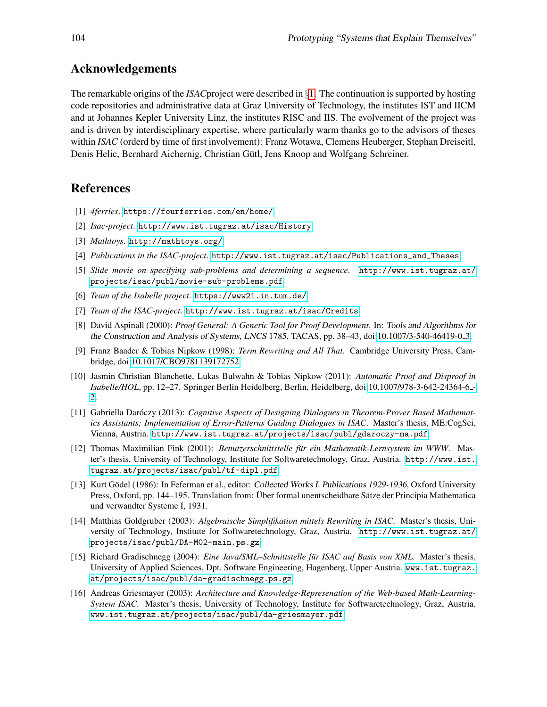## Acknowledgements

The remarkable origins of the *ISAC*project were described in §[1.](#page-0-5) The continuation is supported by hosting code repositories and administrative data at Graz University of Technology, the institutes IST and IICM and at Johannes Kepler University Linz, the institutes RISC and IIS. The evolvement of the project was and is driven by interdisciplinary expertise, where particularly warm thanks go to the advisors of theses within *ISAC* (orderd by time of first involvement): Franz Wotawa, Clemens Heuberger, Stephan Dreiseitl, Denis Helic, Bernhard Aichernig, Christian Gütl, Jens Knoop and Wolfgang Schreiner.

## References

- <span id="page-15-1"></span>[1] *4ferries*. <https://fourferries.com/en/home/>.
- [2] *Isac-project*. <http://www.ist.tugraz.at/isac/History>.
- <span id="page-15-0"></span>[3] *Mathtoys*. <http://mathtoys.org/>.
- [4] *Publications in the ISAC-project*. [http://www.ist.tugraz.at/isac/Publications\\_and\\_Theses](http://www.ist.tugraz.at/isac/Publications_and_Theses).
- [5] *Slide movie on specifying sub-problems and determining a sequence*. [http://www.ist.tugraz.at/](http://www.ist.tugraz.at/projects/isac/publ/movie-sub-problems.pdf) [projects/isac/publ/movie-sub-problems.pdf](http://www.ist.tugraz.at/projects/isac/publ/movie-sub-problems.pdf).
- <span id="page-15-3"></span>[6] *Team of the Isabelle project*. <https://www21.in.tum.de/>.
- [7] *Team of the ISAC-project*. <http://www.ist.tugraz.at/isac/Credits>.
- <span id="page-15-2"></span>[8] David Aspinall (2000): *Proof General: A Generic Tool for Proof Development*. In: Tools and Algorithms for the Construction and Analysis of Systems, LNCS 1785, TACAS, pp. 38–43, doi[:10.1007/3-540-46419-0](http://dx.doi.org/10.1007/3-540-46419-0_3) 3.
- <span id="page-15-7"></span>[9] Franz Baader & Tobias Nipkow (1998): *Term Rewriting and All That*. Cambridge University Press, Cambridge, doi[:10.1017/CBO9781139172752.](http://dx.doi.org/10.1017/CBO9781139172752)
- <span id="page-15-5"></span>[10] Jasmin Christian Blanchette, Lukas Bulwahn & Tobias Nipkow (2011): *Automatic Proof and Disproof in Isabelle/HOL*, pp. 12–27. Springer Berlin Heidelberg, Berlin, Heidelberg, doi[:10.1007/978-3-642-24364-6](http://dx.doi.org/10.1007/978-3-642-24364-6_2) - [2.](http://dx.doi.org/10.1007/978-3-642-24364-6_2)
- <span id="page-15-11"></span>[11] Gabriella Daróczy (2013): *Cognitive Aspects of Designing Dialogues in Theorem-Prover Based Mathematics Assistants; Implementation of Error-Patterns Guiding Dialogues in ISAC*. Master's thesis, ME:CogSci, Vienna, Austria. <http://www.ist.tugraz.at/projects/isac/publ/gdaroczy-ma.pdf>.
- <span id="page-15-8"></span>[12] Thomas Maximilian Fink (2001): *Benutzerschnittstelle fur ein Mathematik-Lernsystem im WWW ¨* . Master's thesis, University of Technology, Institute for Softwaretechnology, Graz, Austria. [http://www.ist.](http://www.ist.tugraz.at/projects/isac/publ/tf-dipl.pdf) [tugraz.at/projects/isac/publ/tf-dipl.pdf](http://www.ist.tugraz.at/projects/isac/publ/tf-dipl.pdf).
- <span id="page-15-6"></span>[13] Kurt Gödel (1986): In Feferman et al., editor: Collected Works I. Publications 1929-1936, Oxford University Press, Oxford, pp. 144–195. Translation from: Über formal unentscheidbare Sätze der Principia Mathematica und verwandter Systeme I, 1931.
- <span id="page-15-4"></span>[14] Matthias Goldgruber (2003): *Algebraische Simplifikation mittels Rewriting in ISAC*. Master's thesis, University of Technology, Institute for Softwaretechnology, Graz, Austria. [http://www.ist.tugraz.at/](http://www.ist.tugraz.at/projects/isac/publ/DA-M02-main.ps.gz) [projects/isac/publ/DA-M02-main.ps.gz](http://www.ist.tugraz.at/projects/isac/publ/DA-M02-main.ps.gz).
- <span id="page-15-9"></span>[15] Richard Gradischnegg (2004): *Eine Java/SML–Schnittstelle für ISAC auf Basis von XML*. Master's thesis, University of Applied Sciences, Dpt. Software Engineering, Hagenberg, Upper Austria. [www.ist.tugraz.](www.ist.tugraz.at/projects/isac/publ/da-gradischnegg.ps.gz) [at/projects/isac/publ/da-gradischnegg.ps.gz](www.ist.tugraz.at/projects/isac/publ/da-gradischnegg.ps.gz).
- <span id="page-15-10"></span>[16] Andreas Griesmayer (2003): *Architecture and Knowledge-Represenation of the Web-based Math-Learning-System ISAC*. Master's thesis, University of Technology, Institute for Softwaretechnology, Graz, Austria. <www.ist.tugraz.at/projects/isac/publ/da-griesmayer.pdf>.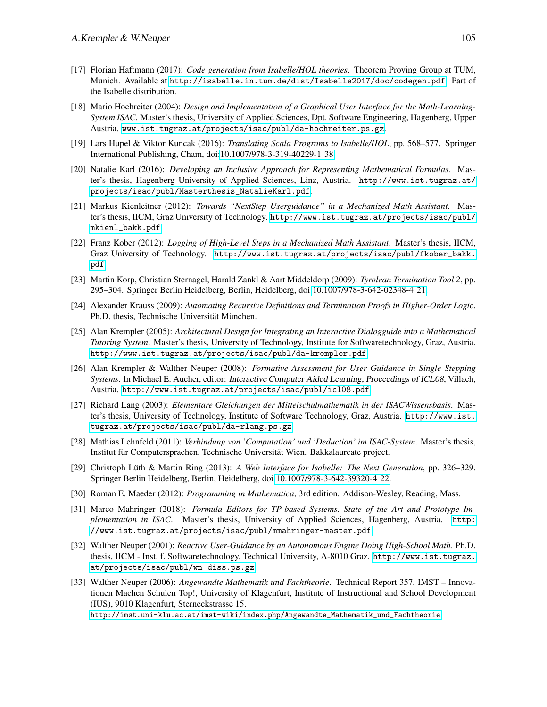- <span id="page-16-3"></span>[17] Florian Haftmann (2017): *Code generation from Isabelle/HOL theories*. Theorem Proving Group at TUM, Munich. Available at <http://isabelle.in.tum.de/dist/Isabelle2017/doc/codegen.pdf>. Part of the Isabelle distribution.
- <span id="page-16-6"></span>[18] Mario Hochreiter (2004): *Design and Implementation of a Graphical User Interface for the Math-Learning-System ISAC*. Master's thesis, University of Applied Sciences, Dpt. Software Engineering, Hagenberg, Upper Austria. <www.ist.tugraz.at/projects/isac/publ/da-hochreiter.ps.gz>.
- <span id="page-16-8"></span>[19] Lars Hupel & Viktor Kuncak (2016): *Translating Scala Programs to Isabelle/HOL*, pp. 568–577. Springer International Publishing, Cham, doi[:10.1007/978-3-319-40229-1](http://dx.doi.org/10.1007/978-3-319-40229-1_38) 38.
- [20] Natalie Karl (2016): *Developing an Inclusive Approach for Representing Mathematical Formulas*. Master's thesis, Hagenberg University of Applied Sciences, Linz, Austria. [http://www.ist.tugraz.at/](http://www.ist.tugraz.at/projects/isac/publ/Masterthesis_NatalieKarl.pdf) [projects/isac/publ/Masterthesis\\_NatalieKarl.pdf](http://www.ist.tugraz.at/projects/isac/publ/Masterthesis_NatalieKarl.pdf).
- <span id="page-16-11"></span>[21] Markus Kienleitner (2012): *Towards "NextStep Userguidance" in a Mechanized Math Assistant*. Master's thesis, IICM, Graz University of Technology. [http://www.ist.tugraz.at/projects/isac/publ/](http://www.ist.tugraz.at/projects/isac/publ/mkienl_bakk.pdf) [mkienl\\_bakk.pdf](http://www.ist.tugraz.at/projects/isac/publ/mkienl_bakk.pdf).
- <span id="page-16-10"></span>[22] Franz Kober (2012): *Logging of High-Level Steps in a Mechanized Math Assistant*. Master's thesis, IICM, Graz University of Technology. [http://www.ist.tugraz.at/projects/isac/publ/fkober\\_bakk.](http://www.ist.tugraz.at/projects/isac/publ/fkober_bakk.pdf) [pdf](http://www.ist.tugraz.at/projects/isac/publ/fkober_bakk.pdf).
- <span id="page-16-5"></span>[23] Martin Korp, Christian Sternagel, Harald Zankl & Aart Middeldorp (2009): *Tyrolean Termination Tool 2*, pp. 295–304. Springer Berlin Heidelberg, Berlin, Heidelberg, doi[:10.1007/978-3-642-02348-4](http://dx.doi.org/10.1007/978-3-642-02348-4_21) 21.
- <span id="page-16-2"></span>[24] Alexander Krauss (2009): *Automating Recursive Definitions and Termination Proofs in Higher-Order Logic*. Ph.D. thesis, Technische Universität München.
- <span id="page-16-7"></span>[25] Alan Krempler (2005): *Architectural Design for Integrating an Interactive Dialogguide into a Mathematical Tutoring System*. Master's thesis, University of Technology, Institute for Softwaretechnology, Graz, Austria. <http://www.ist.tugraz.at/projects/isac/publ/da-krempler.pdf>.
- <span id="page-16-12"></span>[26] Alan Krempler & Walther Neuper (2008): *Formative Assessment for User Guidance in Single Stepping Systems*. In Michael E. Aucher, editor: Interactive Computer Aided Learning, Proceedings of ICL08, Villach, Austria. <http://www.ist.tugraz.at/projects/isac/publ/icl08.pdf>.
- <span id="page-16-4"></span>[27] Richard Lang (2003): *Elementare Gleichungen der Mittelschulmathematik in der ISACWissensbasis*. Master's thesis, University of Technology, Institute of Software Technology, Graz, Austria. [http://www.ist.](http://www.ist.tugraz.at/projects/isac/publ/da-rlang.ps.gz) [tugraz.at/projects/isac/publ/da-rlang.ps.gz](http://www.ist.tugraz.at/projects/isac/publ/da-rlang.ps.gz).
- <span id="page-16-1"></span>[28] Mathias Lehnfeld (2011): *Verbindung von 'Computation' und 'Deduction' im ISAC-System*. Master's thesis, Institut für Computersprachen, Technische Universität Wien. Bakkalaureate project.
- <span id="page-16-13"></span>[29] Christoph Lüth & Martin Ring (2013): A Web Interface for Isabelle: The Next Generation, pp. 326–329. Springer Berlin Heidelberg, Berlin, Heidelberg, doi[:10.1007/978-3-642-39320-4](http://dx.doi.org/10.1007/978-3-642-39320-4_22) 22.
- [30] Roman E. Maeder (2012): *Programming in Mathematica*, 3rd edition. Addison-Wesley, Reading, Mass.
- <span id="page-16-9"></span>[31] Marco Mahringer (2018): *Formula Editors for TP-based Systems. State of the Art and Prototype Implementation in ISAC*. Master's thesis, University of Applied Sciences, Hagenberg, Austria. [http:](http://www.ist.tugraz.at/projects/isac/publ/mmahringer-master.pdf) [//www.ist.tugraz.at/projects/isac/publ/mmahringer-master.pdf](http://www.ist.tugraz.at/projects/isac/publ/mmahringer-master.pdf).
- [32] Walther Neuper (2001): *Reactive User-Guidance by an Autonomous Engine Doing High-School Math*. Ph.D. thesis, IICM - Inst. f. Softwaretechnology, Technical University, A-8010 Graz. [http://www.ist.tugraz.](http://www.ist.tugraz.at/projects/isac/publ/wn-diss.ps.gz) [at/projects/isac/publ/wn-diss.ps.gz](http://www.ist.tugraz.at/projects/isac/publ/wn-diss.ps.gz).
- <span id="page-16-0"></span>[33] Walther Neuper (2006): *Angewandte Mathematik und Fachtheorie*. Technical Report 357, IMST – Innovationen Machen Schulen Top!, University of Klagenfurt, Institute of Instructional and School Development (IUS), 9010 Klagenfurt, Sterneckstrasse 15.

[http://imst.uni-klu.ac.at/imst-wiki/index.php/Angewandte\\_Mathematik\\_und\\_Fachtheorie](http://imst.uni-klu.ac.at/imst-wiki/index.php/Angewandte_Mathematik_und_Fachtheorie).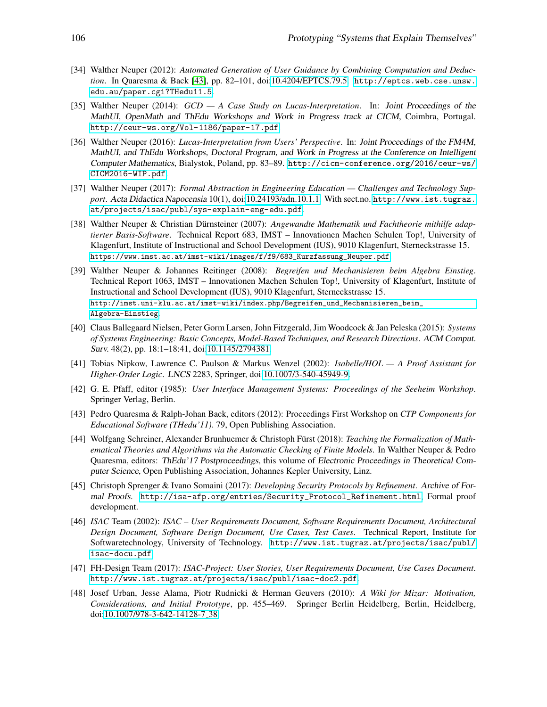- <span id="page-17-4"></span>[34] Walther Neuper (2012): *Automated Generation of User Guidance by Combining Computation and Deduction*. In Quaresma & Back [\[43\]](#page-17-13), pp. 82–101, doi[:10.4204/EPTCS.79.5.](http://dx.doi.org/10.4204/EPTCS.79.5) [http://eptcs.web.cse.unsw.](http://eptcs.web.cse.unsw.edu.au/paper.cgi?THedu11.5) [edu.au/paper.cgi?THedu11.5](http://eptcs.web.cse.unsw.edu.au/paper.cgi?THedu11.5).
- <span id="page-17-6"></span>[35] Walther Neuper (2014): *GCD — A Case Study on Lucas-Interpretation*. In: Joint Proceedings of the MathUI, OpenMath and ThEdu Workshops and Work in Progress track at CICM, Coimbra, Portugal. <http://ceur-ws.org/Vol-1186/paper-17.pdf>.
- <span id="page-17-5"></span>[36] Walther Neuper (2016): *Lucas-Interpretation from Users' Perspective*. In: Joint Proceedings of the FM4M, MathUI, and ThEdu Workshops, Doctoral Program, and Work in Progress at the Conference on Intelligent Computer Mathematics, Bialystok, Poland, pp. 83–89. [http://cicm-conference.org/2016/ceur-ws/](http://cicm-conference.org/2016/ceur-ws/CICM2016-WIP.pdf) [CICM2016-WIP.pdf](http://cicm-conference.org/2016/ceur-ws/CICM2016-WIP.pdf).
- [37] Walther Neuper (2017): *Formal Abstraction in Engineering Education Challenges and Technology Support*. Acta Didactica Napocensia 10(1), doi[:10.24193/adn.10.1.1.](http://dx.doi.org/10.24193/adn.10.1.1) With sect.no. [http://www.ist.tugraz.](http://www.ist.tugraz.at/projects/isac/publ/sys-explain-eng-edu.pdf) [at/projects/isac/publ/sys-explain-eng-edu.pdf](http://www.ist.tugraz.at/projects/isac/publ/sys-explain-eng-edu.pdf).
- <span id="page-17-0"></span>[38] Walther Neuper & Christian Dürnsteiner (2007): *Angewandte Mathematik und Fachtheorie mithilfe adaptierter Basis-Software*. Technical Report 683, IMST – Innovationen Machen Schulen Top!, University of Klagenfurt, Institute of Instructional and School Development (IUS), 9010 Klagenfurt, Sterneckstrasse 15. [https://www.imst.ac.at/imst-wiki/images/f/f9/683\\_Kurzfassung\\_Neuper.pdf](https://www.imst.ac.at/imst-wiki/images/f/f9/683_Kurzfassung_Neuper.pdf).
- <span id="page-17-1"></span>[39] Walther Neuper & Johannes Reitinger (2008): *Begreifen und Mechanisieren beim Algebra Einstieg*. Technical Report 1063, IMST – Innovationen Machen Schulen Top!, University of Klagenfurt, Institute of Instructional and School Development (IUS), 9010 Klagenfurt, Sterneckstrasse 15. [http://imst.uni-klu.ac.at/imst-wiki/index.php/Begreifen\\_und\\_Mechanisieren\\_beim\\_](http://imst.uni-klu.ac.at/imst-wiki/index.php/Begreifen_und_Mechanisieren_beim_Algebra-Einstieg) [Algebra-Einstieg](http://imst.uni-klu.ac.at/imst-wiki/index.php/Begreifen_und_Mechanisieren_beim_Algebra-Einstieg).
- <span id="page-17-7"></span>[40] Claus Ballegaard Nielsen, Peter Gorm Larsen, John Fitzgerald, Jim Woodcock & Jan Peleska (2015): *Systems of Systems Engineering: Basic Concepts, Model-Based Techniques, and Research Directions*. ACM Comput. Surv. 48(2), pp. 18:1–18:41, doi[:10.1145/2794381.](http://dx.doi.org/10.1145/2794381)
- <span id="page-17-2"></span>[41] Tobias Nipkow, Lawrence C. Paulson & Markus Wenzel (2002): *Isabelle/HOL — A Proof Assistant for Higher-Order Logic*. LNCS 2283, Springer, doi[:10.1007/3-540-45949-9.](http://dx.doi.org/10.1007/3-540-45949-9)
- <span id="page-17-11"></span>[42] G. E. Pfaff, editor (1985): *User Interface Management Systems: Proceedings of the Seeheim Workshop*. Springer Verlag, Berlin.
- <span id="page-17-13"></span>[43] Pedro Quaresma & Ralph-Johan Back, editors (2012): Proceedings First Workshop on *CTP Components for Educational Software (THedu'11)*. 79, Open Publishing Association.
- <span id="page-17-10"></span>[44] Wolfgang Schreiner, Alexander Brunhuemer & Christoph Fürst (2018): *Teaching the Formalization of Mathematical Theories and Algorithms via the Automatic Checking of Finite Models*. In Walther Neuper & Pedro Quaresma, editors: ThEdu'17 Postproceedings, this volume of Electronic Proceedings in Theoretical Computer Science, Open Publishing Association, Johannes Kepler University, Linz.
- <span id="page-17-3"></span>[45] Christoph Sprenger & Ivano Somaini (2017): *Developing Security Protocols by Refinement*. Archive of Formal Proofs. [http://isa-afp.org/entries/Security\\_Protocol\\_Refinement.html](http://isa-afp.org/entries/Security_Protocol_Refinement.html), Formal proof development.
- <span id="page-17-8"></span>[46] *ISAC* Team (2002): *ISAC – User Requirements Document, Software Requirements Document, Architectural Design Document, Software Design Document, Use Cases, Test Cases*. Technical Report, Institute for Softwaretechnology, University of Technology. [http://www.ist.tugraz.at/projects/isac/publ/](http://www.ist.tugraz.at/projects/isac/publ/isac-docu.pdf) [isac-docu.pdf](http://www.ist.tugraz.at/projects/isac/publ/isac-docu.pdf).
- <span id="page-17-9"></span>[47] FH-Design Team (2017): *ISAC-Project: User Stories, User Requirements Document, Use Cases Document*. <http://www.ist.tugraz.at/projects/isac/publ/isac-doc2.pdf>.
- <span id="page-17-12"></span>[48] Josef Urban, Jesse Alama, Piotr Rudnicki & Herman Geuvers (2010): *A Wiki for Mizar: Motivation, Considerations, and Initial Prototype*, pp. 455–469. Springer Berlin Heidelberg, Berlin, Heidelberg, doi[:10.1007/978-3-642-14128-7](http://dx.doi.org/10.1007/978-3-642-14128-7_38) 38.